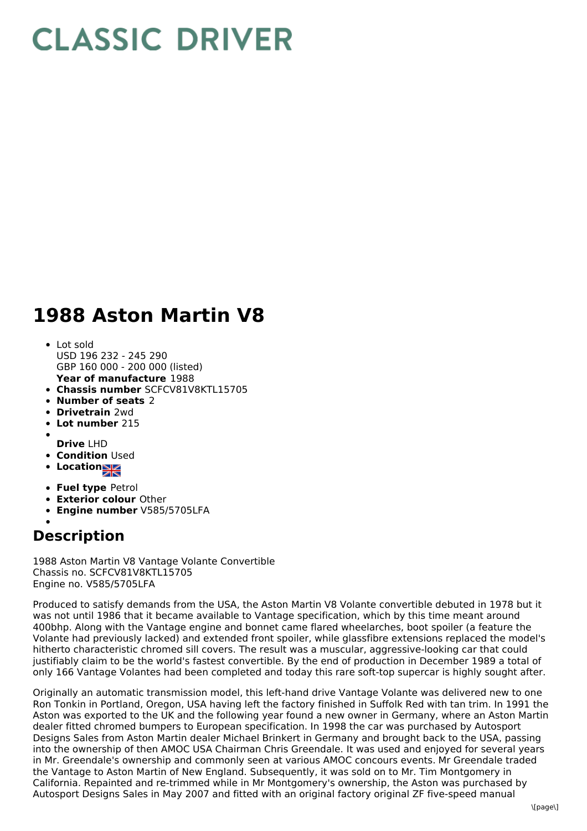## **CLASSIC DRIVER**

## **1988 Aston Martin V8**

- **Year of manufacture** 1988 Lot sold USD 196 232 - 245 290 GBP 160 000 - 200 000 (listed)
- **Chassis number** SCFCV81V8KTL15705
- **Number of seats** 2
- **Drivetrain** 2wd
- **Lot number** 215
- 
- **Drive** LHD
- **Condition Used**
- **Location**
- **Fuel type** Petrol
- **Exterior colour** Other
- **Engine number** V585/5705LFA

## **Description**

1988 Aston Martin V8 Vantage Volante Convertible Chassis no. SCFCV81V8KTL15705 Engine no. V585/5705LFA

Produced to satisfy demands from the USA, the Aston Martin V8 Volante convertible debuted in 1978 but it was not until 1986 that it became available to Vantage specification, which by this time meant around 400bhp. Along with the Vantage engine and bonnet came flared wheelarches, boot spoiler (a feature the Volante had previously lacked) and extended front spoiler, while glassfibre extensions replaced the model's hitherto characteristic chromed sill covers. The result was a muscular, aggressive-looking car that could justifiably claim to be the world's fastest convertible. By the end of production in December 1989 a total of only 166 Vantage Volantes had been completed and today this rare soft-top supercar is highly sought after.

Originally an automatic transmission model, this left-hand drive Vantage Volante was delivered new to one Ron Tonkin in Portland, Oregon, USA having left the factory finished in Suffolk Red with tan trim. In 1991 the Aston was exported to the UK and the following year found a new owner in Germany, where an Aston Martin dealer fitted chromed bumpers to European specification. In 1998 the car was purchased by Autosport Designs Sales from Aston Martin dealer Michael Brinkert in Germany and brought back to the USA, passing into the ownership of then AMOC USA Chairman Chris Greendale. It was used and enjoyed for several years in Mr. Greendale's ownership and commonly seen at various AMOC concours events. Mr Greendale traded the Vantage to Aston Martin of New England. Subsequently, it was sold on to Mr. Tim Montgomery in California. Repainted and re-trimmed while in Mr Montgomery's ownership, the Aston was purchased by Autosport Designs Sales in May 2007 and fitted with an original factory original ZF five-speed manual